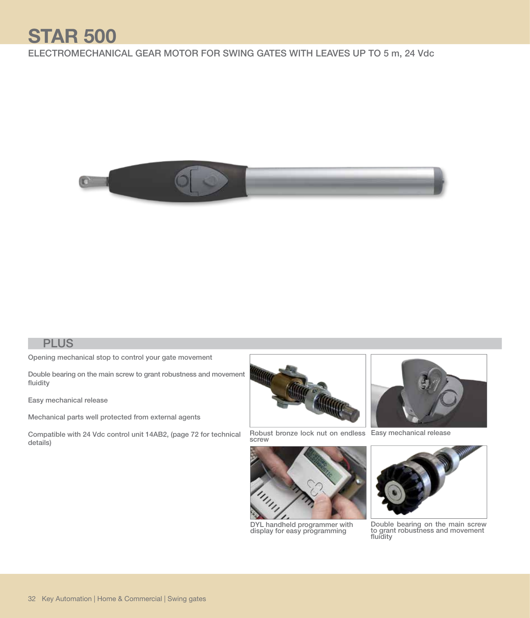## **STAR 500**

## ELECTROMECHANICAL GEAR MOTOR FOR SWING GATES WITH LEAVES UP TO 5 m, 24 Vdc



## **PLUS**

Opening mechanical stop to control your gate movement

Double bearing on the main screw to grant robustness and movement fluidity

Easy mechanical release

Mechanical parts well protected from external agents

Compatible with 24 Vdc control unit 14AB2, (page 72 for technical details)



Robust bronze lock nut on endless Easy mechanical release<br>screw



DYL handheld programmer with display for easy programming





Double bearing on the main screw<br>to grant robustness and movement<br>fluidity